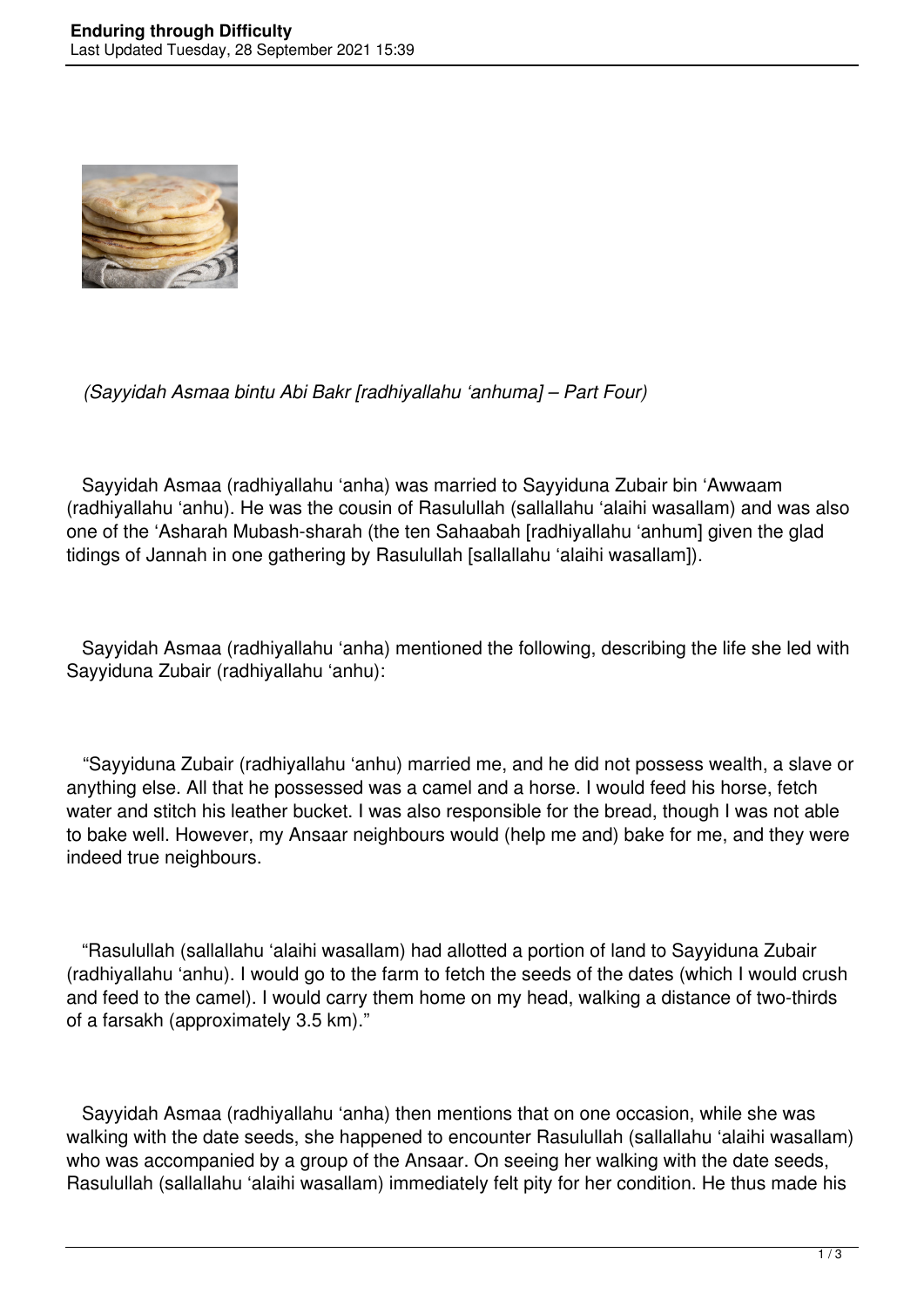

## *(Sayyidah Asmaa bintu Abi Bakr [radhiyallahu 'anhuma] – Part Four)*

 Sayyidah Asmaa (radhiyallahu 'anha) was married to Sayyiduna Zubair bin 'Awwaam (radhiyallahu 'anhu). He was the cousin of Rasulullah (sallallahu 'alaihi wasallam) and was also one of the 'Asharah Mubash-sharah (the ten Sahaabah [radhiyallahu 'anhum] given the glad tidings of Jannah in one gathering by Rasulullah [sallallahu 'alaihi wasallam]).

 Sayyidah Asmaa (radhiyallahu 'anha) mentioned the following, describing the life she led with Sayyiduna Zubair (radhiyallahu 'anhu):

 "Sayyiduna Zubair (radhiyallahu 'anhu) married me, and he did not possess wealth, a slave or anything else. All that he possessed was a camel and a horse. I would feed his horse, fetch water and stitch his leather bucket. I was also responsible for the bread, though I was not able to bake well. However, my Ansaar neighbours would (help me and) bake for me, and they were indeed true neighbours.

 "Rasulullah (sallallahu 'alaihi wasallam) had allotted a portion of land to Sayyiduna Zubair (radhiyallahu 'anhu). I would go to the farm to fetch the seeds of the dates (which I would crush and feed to the camel). I would carry them home on my head, walking a distance of two-thirds of a farsakh (approximately 3.5 km)."

 Sayyidah Asmaa (radhiyallahu 'anha) then mentions that on one occasion, while she was walking with the date seeds, she happened to encounter Rasulullah (sallallahu 'alaihi wasallam) who was accompanied by a group of the Ansaar. On seeing her walking with the date seeds, Rasulullah (sallallahu 'alaihi wasallam) immediately felt pity for her condition. He thus made his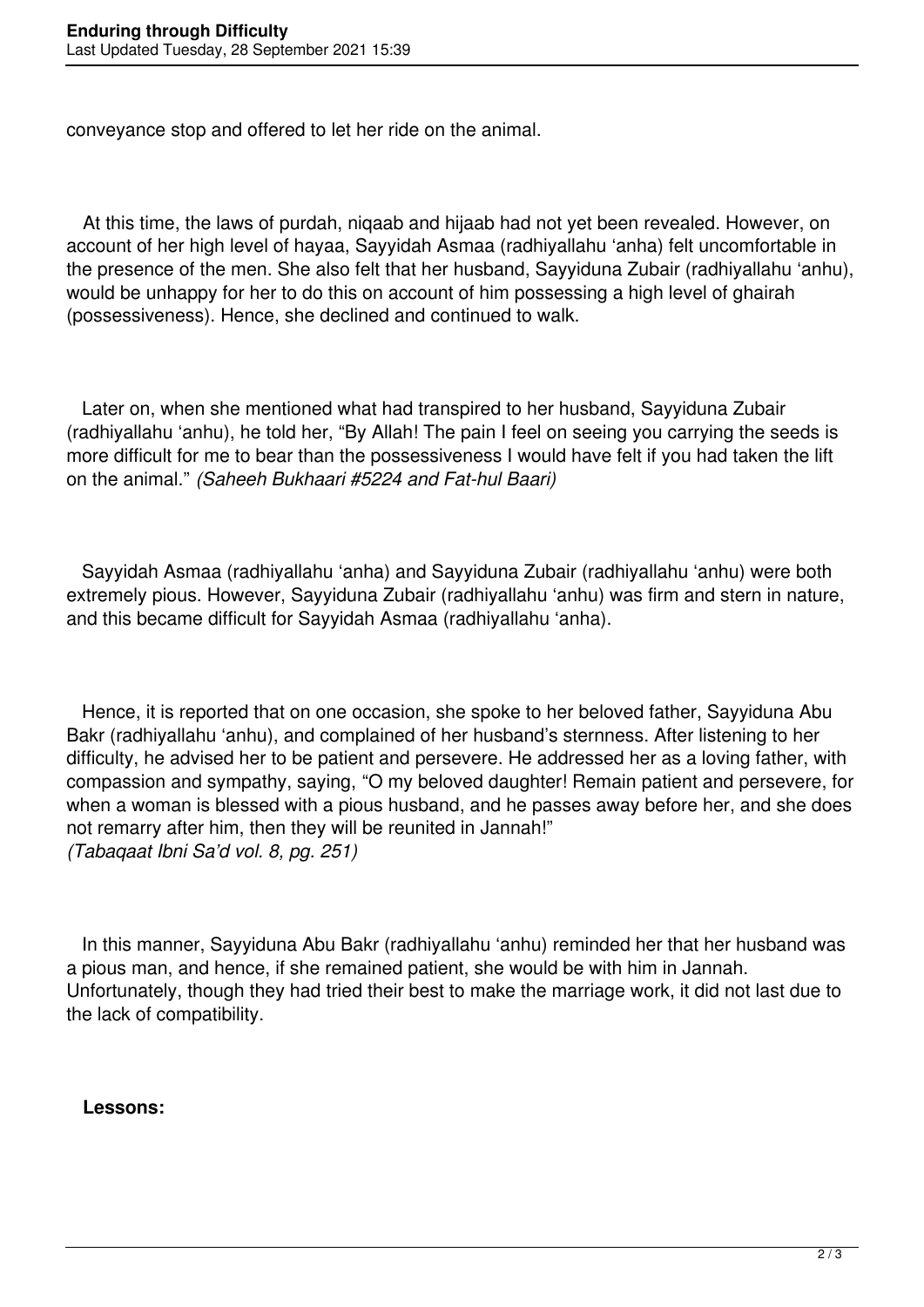conveyance stop and offered to let her ride on the animal.

 At this time, the laws of purdah, niqaab and hijaab had not yet been revealed. However, on account of her high level of hayaa, Sayyidah Asmaa (radhiyallahu 'anha) felt uncomfortable in the presence of the men. She also felt that her husband, Sayyiduna Zubair (radhiyallahu 'anhu), would be unhappy for her to do this on account of him possessing a high level of ghairah (possessiveness). Hence, she declined and continued to walk.

 Later on, when she mentioned what had transpired to her husband, Sayyiduna Zubair (radhiyallahu 'anhu), he told her, "By Allah! The pain I feel on seeing you carrying the seeds is more difficult for me to bear than the possessiveness I would have felt if you had taken the lift on the animal." *(Saheeh Bukhaari #5224 and Fat-hul Baari)*

 Sayyidah Asmaa (radhiyallahu 'anha) and Sayyiduna Zubair (radhiyallahu 'anhu) were both extremely pious. However, Sayyiduna Zubair (radhiyallahu 'anhu) was firm and stern in nature, and this became difficult for Sayyidah Asmaa (radhiyallahu 'anha).

 Hence, it is reported that on one occasion, she spoke to her beloved father, Sayyiduna Abu Bakr (radhiyallahu 'anhu), and complained of her husband's sternness. After listening to her difficulty, he advised her to be patient and persevere. He addressed her as a loving father, with compassion and sympathy, saying, "O my beloved daughter! Remain patient and persevere, for when a woman is blessed with a pious husband, and he passes away before her, and she does not remarry after him, then they will be reunited in Jannah!" *(Tabaqaat Ibni Sa'd vol. 8, pg. 251)*

 In this manner, Sayyiduna Abu Bakr (radhiyallahu 'anhu) reminded her that her husband was a pious man, and hence, if she remained patient, she would be with him in Jannah. Unfortunately, though they had tried their best to make the marriage work, it did not last due to the lack of compatibility.

## **Lessons:**